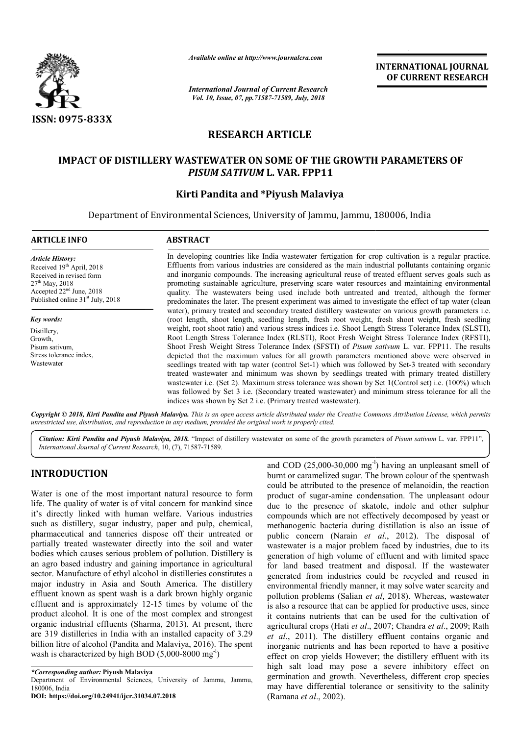

*Available online at http://www.journalcra.com*

*International Journal of Current Research Vol. 10, Issue, 07, pp.71587-71589, July, 2018*

**INTERNATIONAL JOURNAL OF CURRENT RESEARCH**

# **RESEARCH ARTICLE**

## **IMPACT OF DISTILLERY WASTEWATER ON SOME OF THE GROWTH PARAMETERS OF** *PISUM SATIVUM* **L. VAR. FPP11**

## **Kirti Pandita and \*Piyush Malaviya**

Department of Environmental Sciences, University of Jammu, Jammu, 180006, India

| <b>ARTICLE INFO</b>                                                                                                                                                                                      | <b>ABSTRACT</b>                                                                                                                                                                                                                                                                                                                                                                                                                                                                                                                                                                                                                                                                                                                                                                                                                                                                                             |  |  |  |  |
|----------------------------------------------------------------------------------------------------------------------------------------------------------------------------------------------------------|-------------------------------------------------------------------------------------------------------------------------------------------------------------------------------------------------------------------------------------------------------------------------------------------------------------------------------------------------------------------------------------------------------------------------------------------------------------------------------------------------------------------------------------------------------------------------------------------------------------------------------------------------------------------------------------------------------------------------------------------------------------------------------------------------------------------------------------------------------------------------------------------------------------|--|--|--|--|
| <b>Article History:</b><br>Received 19 <sup>th</sup> April, 2018<br>Received in revised form<br>$27th$ May, 2018<br>Accepted 22 <sup>nd</sup> June, 2018<br>Published online 31 <sup>st</sup> July, 2018 | In developing countries like India was tewater fertigation for crop cultivation is a regular practice.<br>Effluents from various industries are considered as the main industrial pollutants containing organic<br>and inorganic compounds. The increasing agricultural reuse of treated effluent serves goals such as<br>promoting sustainable agriculture, preserving scare water resources and maintaining environmental<br>quality. The wastewaters being used include both untreated and treated, although the former<br>predominates the later. The present experiment was aimed to investigate the effect of tap water (clean<br>water), primary treated and secondary treated distillery wastewater on various growth parameters <i>i.e.</i><br>(root length, shoot length, seedling length, fresh root weight, fresh shoot weight, fresh seedling                                                  |  |  |  |  |
| Key words:<br>Distillery,<br>Growth,<br>Pisum sativum.<br>Stress tolerance index.<br>Wastewater                                                                                                          | weight, root shoot ratio) and various stress indices <i>i.e.</i> Shoot Length Stress Tolerance Index (SLSTI),<br>Root Length Stress Tolerance Index (RLSTI), Root Fresh Weight Stress Tolerance Index (RFSTI),<br>Shoot Fresh Weight Stress Tolerance Index (SFSTI) of <i>Pisum sativum</i> L. var. FPP11. The results<br>depicted that the maximum values for all growth parameters mentioned above were observed in<br>seedlings treated with tap water (control Set-1) which was followed by Set-3 treated with secondary<br>treated wastewater and minimum was shown by seedlings treated with primary treated distillery<br>wastewater i.e. (Set 2). Maximum stress tolerance was shown by Set 1(Control set) i.e. (100%) which<br>was followed by Set 3 i.e. (Secondary treated wastewater) and minimum stress tolerance for all the<br>indices was shown by Set 2 i.e. (Primary treated wastewater). |  |  |  |  |

Copyright © 2018, Kirti Pandita and Piyush Malaviya. This is an open access article distributed under the Creative Commons Attribution License, which permits *unrestricted use, distribution, and reproduction in any medium, provided the original work is properly cited.*

Citation: Kirti Pandita and Piyush Malaviya, 2018. "Impact of distillery wastewater on some of the growth parameters of Pisum sativum L. var. FPP11", *International Journal of Current Research*, 10, (7), 71587 71587-71589.

# **INTRODUCTION**

Water is one of the most important natural resource to form life. The quality of water is of vital concern for mankind since it's directly linked with human welfare. Various industries such as distillery, sugar industry, paper and pulp, chemical, pharmaceutical and tanneries dispose off their untreated or partially treated wastewater directly into the soil and water bodies which causes serious problem of pollution. an agro based industry and gaining importance in agricultural sector. Manufacture of ethyl alcohol in distilleries constitutes a major industry in Asia and South America. The distillery effluent known as spent wash is a dark brown highly organic effluent and is approximately 12-15 times by volume of the product alcohol. It is one of the most complex and strongest organic industrial effluents (Sharma, 2013). At present, there are 319 distilleries in India with an installed capacity of 3.29 billion litre of alcohol (Pandita and Malaviya, 2016) 2016). The spent wash is characterized by high BOD  $(5,000-8000 \text{ mg}^{-1})$ tical and tanneries dispose off their untreated or<br>eated wastewater directly into the soil and water<br>ch causes serious problem of pollution. Distillery is

and COD  $(25,000-30,000 \text{ mg}^{-1})$  having an unpleasant smell of and COD  $(25,000-30,000 \text{ mg}^{-1})$  having an unpleasant smell of burnt or caramelized sugar. The brown colour of the spentwash could be attributed to the presence of melanoidin, the reaction product of sugar-amine condensation. The unpleasant odour due to the presence of skatole, indole and other sulphur compounds which are not effectively decomposed by yea methanogenic bacteria during distillation is also an issue of public concern (Narain *et al.*, 2012). The disposal of wastewater is a major problem faced by industries, due to its generation of high volume of effluent and with limited space for land based treatment and disposal. If the wastewater generated from industries could be recycled and reused in environmental friendly manner, it may solve water scarcity and pollution problems (Salian *et al*, 2018). Whereas, wastewater is also a resource that can be applied for productive uses, since is also a resource that can be applied for productive uses, since it contains nutrients that can be used for the cultivation of agricultural crops (Hati *et al*., 2007; Chandra *et al*., 2009; Rath *et al*., 2011). The distillery effluent contains organic and et al., 2011). The distillery effluent contains organic and inorganic nutrients and has been reported to have a positive effect on crop yields However; the distillery effluent with its high salt load may pose a severe inhibitory effect on germination and growth. Nevertheless, different crop species may have differential tolerance or sensitivity to the salinity (Ramana *et al*., 2002). could be attributed to the presence of melanoidin, the reaction product of sugar-amine condensation. The unpleasant odour due to the presence of skatole, indole and other sulphur compounds which are not effectively decompo wastewater is a major problem faced by industries, due to its generation of high volume of effluent and with limited space for land based treatment and disposal. If the wastewater generated from industries could be recycl on crop yields However; the distillery effluent with its salt load may pose a severe inhibitory effect on aation and growth. Nevertheless, different crop species ave differential tolerance or sensitivity to the salinity

*<sup>\*</sup>Corresponding author:* **Piyush Malaviya** Department of Environmental Sciences, University of Jammu, Jammu, 180006, India **DOI: https://doi.org/10.24941/ijcr.31034.07.2018**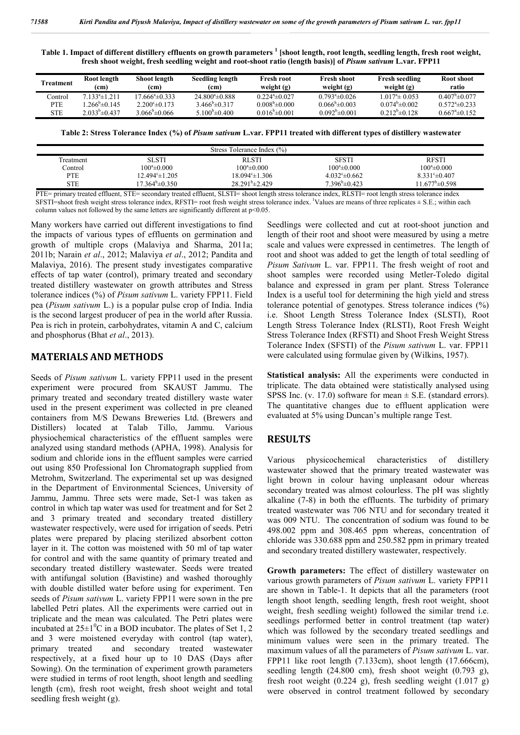**Table 1. Impact of different distillery effluents on growth parameters <sup>1</sup> [shoot length, root length, seedling length, fresh root weight, fresh shoot weight, fresh seedling weight and root-shoot ratio (length basis)] of** *Pisum sativum* **L.var. FPP11**

| Treatment  | Root length<br>(cm)   | Shoot length<br>(cm)           | <b>Seedling length</b><br>(cm) | <b>Fresh root</b><br>weight $(g)$ | Fresh shoot<br>weight $(g)$ | <b>Fresh seedling</b><br>weight $(g)$ | Root shoot<br>ratio     |
|------------|-----------------------|--------------------------------|--------------------------------|-----------------------------------|-----------------------------|---------------------------------------|-------------------------|
| Control    | $7.133^a \pm 1.211$   | $17.666^{\circ}$ ±0.333        | $24.800^4 \pm 0.888$           | $0.224^{\circ}$ ± 0.027           | $0.793^{\circ}$ ±0.026      | $1.017^{\circ}$ ± 0.053               | $0.407^{\circ}$ ± 0.077 |
| <b>PTE</b> | $266^{\circ}$ ± 0 145 | $2.200^{\circ}$ $\pm$ 0.173    | $3.466^{\circ} \pm 0.317$      | $0.008^{\circ}$ ±0.000            | $0.066^{\circ}$ ± 0.003     | $0.074^{\circ}$ ± 0.002               | $0.572^{\circ}$ ± 0.233 |
| STE        | $2.033^b \pm 0.437$   | 3.066 <sup>b</sup> $\pm$ 0.066 | 5.100 <sup>b</sup> $\pm$ 0.400 | $0.016^{\circ}$ ± 0.001           | $0.092^{\circ}$ ±0.001      | $0.212^b \pm 0.128$                   | $0.667^{\circ}$ ± 0.152 |

**Table 2: Stress Tolerance Index (%) of** *Pisum sativum* **L.var. FPP11 treated with different types of distillery wastewater**

| Stress Tolerance Index (%) |                              |                            |                         |                           |  |  |  |  |
|----------------------------|------------------------------|----------------------------|-------------------------|---------------------------|--|--|--|--|
| l reatment                 | SLSTI                        | RLSTI                      | <b>SFSTI</b>            | <b>RFSTI</b>              |  |  |  |  |
| Control                    | $100^a \pm 0.000$            | $100^{\circ}$ ±0.000       | $100^a \pm 0.000$       | $100^a \pm 0.000$         |  |  |  |  |
| <b>PTE</b>                 | 12.494°±1.205                | $18.094^{\circ} \pm 1.306$ | $4.032^{\circ}$ ± 0.662 | $8.331^{\circ} \pm 0.407$ |  |  |  |  |
| <b>STE</b>                 | $17.364^{\circ}$ $\pm 0.350$ | $28.291^{\circ}$ ± 2.429   | $7.396^{\circ}$ ± 0.423 | $11.677^{\circ}$ ±0.598   |  |  |  |  |

PTE= primary treated effluent, STE= secondary treated effluent, SLSTI= shoot length stress tolerance index, RLSTI= root length stress tolerance index SFSTI=shoot fresh weight stress tolerance index, RFSTI= root fresh weight stress tolerance index. Values are means of three replicates  $\pm$  S.E.; within each column values not followed by the same letters are significantly different at p˂0.05.

Many workers have carried out different investigations to find the impacts of various types of effluents on germination and growth of multiple crops (Malaviya and Sharma, 2011a; 2011b; Narain *et al*., 2012; Malaviya *et al*., 2012; Pandita and Malaviya, 2016). The present study investigates comparative effects of tap water (control), primary treated and secondary treated distillery wastewater on growth attributes and Stress tolerance indices (%) of *Pisum sativum* L. variety FPP11. Field pea (*Pisum sativum* L.) is a popular pulse crop of India. India is the second largest producer of pea in the world after Russia. Pea is rich in protein, carbohydrates, vitamin A and C, calcium and phosphorus (Bhat *et al*., 2013).

#### **MATERIALS AND METHODS**

Seeds of *Pisum sativum* L. variety FPP11 used in the present experiment were procured from SKAUST Jammu. The primary treated and secondary treated distillery waste water used in the present experiment was collected in pre cleaned containers from M/S Dewans Breweries Ltd. (Brewers and Distillers) located at Talab Tillo, Jammu. Various physiochemical characteristics of the effluent samples were analyzed using standard methods (APHA, 1998). Analysis for sodium and chloride ions in the effluent samples were carried out using 850 Professional Ion Chromatograph supplied from Metrohm, Switzerland. The experimental set up was designed in the Department of Environmental Sciences, University of Jammu, Jammu. Three sets were made, Set-1 was taken as control in which tap water was used for treatment and for Set 2 and 3 primary treated and secondary treated distillery wastewater respectively, were used for irrigation of seeds. Petri plates were prepared by placing sterilized absorbent cotton layer in it. The cotton was moistened with 50 ml of tap water for control and with the same quantity of primary treated and secondary treated distillery wastewater. Seeds were treated with antifungal solution (Bavistine) and washed thoroughly with double distilled water before using for experiment. Ten seeds of *Pisum sativum* L. variety FPP11 were sown in the pre labelled Petri plates. All the experiments were carried out in triplicate and the mean was calculated. The Petri plates were incubated at  $25\pm1\textsuperscript{0}$ C in a BOD incubator. The plates of Set 1, 2 and 3 were moistened everyday with control (tap water), primary treated and secondary treated wastewater respectively, at a fixed hour up to 10 DAS (Days after Sowing). On the termination of experiment growth parameters were studied in terms of root length, shoot length and seedling length (cm), fresh root weight, fresh shoot weight and total seedling fresh weight (g).

Seedlings were collected and cut at root-shoot junction and length of their root and shoot were measured by using a metre scale and values were expressed in centimetres. The length of root and shoot was added to get the length of total seedling of *Pisum Sativum* L. var. FPP11. The fresh weight of root and shoot samples were recorded using Metler-Toledo digital balance and expressed in gram per plant. Stress Tolerance Index is a useful tool for determining the high yield and stress tolerance potential of genotypes. Stress tolerance indices (%) i.e. Shoot Length Stress Tolerance Index (SLSTI), Root Length Stress Tolerance Index (RLSTI), Root Fresh Weight Stress Tolerance Index (RFSTI) and Shoot Fresh Weight Stress Tolerance Index (SFSTI) of the *Pisum sativum* L. var. FPP11 were calculated using formulae given by (Wilkins, 1957).

**Statistical analysis:** All the experiments were conducted in triplicate. The data obtained were statistically analysed using SPSS Inc. (v. 17.0) software for mean  $\pm$  S.E. (standard errors). The quantitative changes due to effluent application were evaluated at 5% using Duncan's multiple range Test.

### **RESULTS**

Various physicochemical characteristics of distillery wastewater showed that the primary treated wastewater was light brown in colour having unpleasant odour whereas secondary treated was almost colourless. The pH was slightly alkaline (7-8) in both the effluents. The turbidity of primary treated wastewater was 706 NTU and for secondary treated it was 009 NTU. The concentration of sodium was found to be 498.002 ppm and 308.465 ppm whereas, concentration of chloride was 330.688 ppm and 250.582 ppm in primary treated and secondary treated distillery wastewater, respectively.

**Growth parameters:** The effect of distillery wastewater on various growth parameters of *Pisum sativum* L. variety FPP11 are shown in Table-1. It depicts that all the parameters (root length shoot length, seedling length, fresh root weight, shoot weight, fresh seedling weight) followed the similar trend i.e. seedlings performed better in control treatment (tap water) which was followed by the secondary treated seedlings and minimum values were seen in the primary treated. The maximum values of all the parameters of *Pisum sativum* L. var. FPP11 like root length (7.133cm), shoot length (17.666cm), seedling length (24.800 cm), fresh shoot weight (0.793 g), fresh root weight (0.224 g), fresh seedling weight (1.017 g) were observed in control treatment followed by secondary